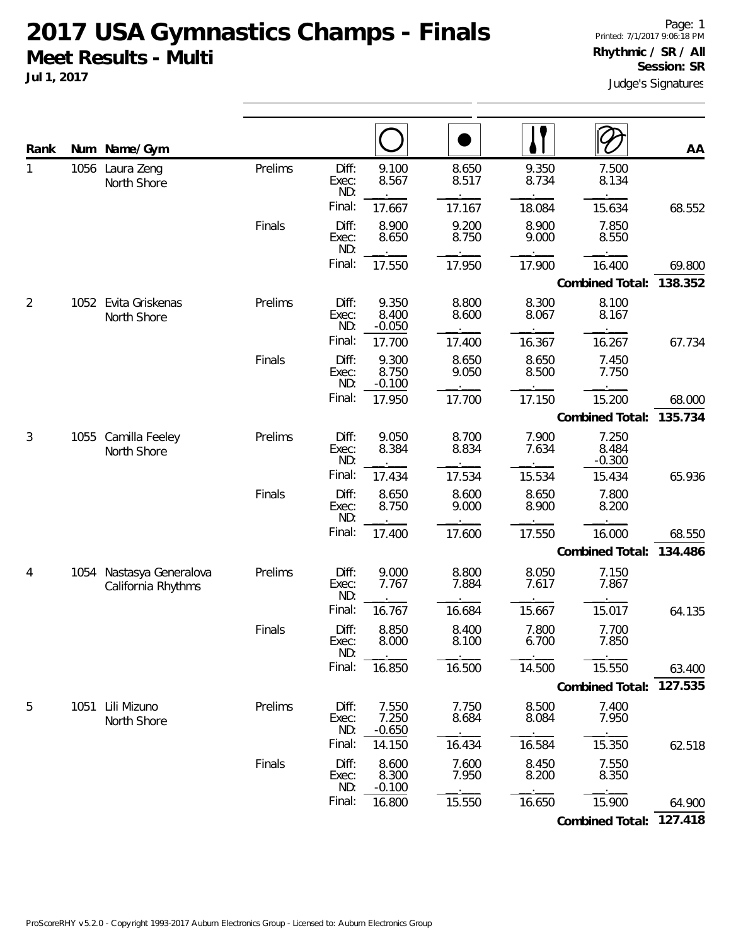## **2017 USA Gymnastics Champs - Finals Meet Results - Multi Jul 1, 2017**

| Rank |      | Num Name/Gym                              |         |                       |                            |                |                |                            | AA      |  |
|------|------|-------------------------------------------|---------|-----------------------|----------------------------|----------------|----------------|----------------------------|---------|--|
| 1    | 1056 | Laura Zeng<br>North Shore                 | Prelims | Diff:<br>Exec:<br>ND: | 9.100<br>8.567             | 8.650<br>8.517 | 9.350<br>8.734 | 7.500<br>8.134             |         |  |
|      |      |                                           |         | Final:                | 17.667                     | 17.167         | 18.084         | 15.634                     | 68.552  |  |
|      |      |                                           | Finals  | Diff:<br>Exec:<br>ND: | 8.900<br>8.650             | 9.200<br>8.750 | 8.900<br>9.000 | 7.850<br>8.550             |         |  |
|      |      |                                           |         | Final:                | 17.550                     | 17.950         | 17.900         | 16.400                     | 69.800  |  |
|      |      |                                           |         |                       |                            |                |                | Combined Total:            | 138.352 |  |
| 2    |      | 1052 Evita Griskenas<br>North Shore       | Prelims | Diff:<br>Exec:<br>ND: | 9.350<br>8.400<br>$-0.050$ | 8.800<br>8.600 | 8.300<br>8.067 | 8.100<br>8.167             |         |  |
|      |      |                                           |         | Final:                | 17.700                     | 17.400         | 16.367         | 16.267                     | 67.734  |  |
|      |      |                                           | Finals  | Diff:<br>Exec:<br>ND: | 9.300<br>8.750<br>$-0.100$ | 8.650<br>9.050 | 8.650<br>8.500 | 7.450<br>7.750             |         |  |
|      |      |                                           |         | Final:                | 17.950                     | 17.700         | 17.150         | 15.200                     | 68.000  |  |
|      |      |                                           |         |                       |                            |                |                | Combined Total:            | 135.734 |  |
| 3    | 1055 | Camilla Feeley<br>North Shore             | Prelims | Diff:<br>Exec:<br>ND: | 9.050<br>8.384             | 8.700<br>8.834 | 7.900<br>7.634 | 7.250<br>8.484<br>$-0.300$ |         |  |
|      |      |                                           |         | Final:                | 17.434                     | 17.534         | 15.534         | 15.434                     | 65.936  |  |
|      |      |                                           | Finals  | Diff:<br>Exec:<br>ND: | 8.650<br>8.750             | 8.600<br>9.000 | 8.650<br>8.900 | 7.800<br>8.200             |         |  |
|      |      |                                           |         | Final:                | 17.400                     | 17.600         | 17.550         | 16.000                     | 68.550  |  |
|      |      |                                           |         |                       |                            |                |                | Combined Total:            | 134.486 |  |
| 4    | 1054 | Nastasya Generalova<br>California Rhythms | Prelims | Diff:<br>Exec:<br>ND: | 9.000<br>7.767             | 8.800<br>7.884 | 8.050<br>7.617 | 7.150<br>7.867             |         |  |
|      |      |                                           |         | Final:                | 16.767                     | 16.684         | 15.667         | 15.017                     | 64.135  |  |
|      |      |                                           | Finals  | Diff:<br>Exec:<br>ND: | 8.850<br>8.000             | 8.400<br>8.100 | 7.800<br>6.700 | 7.700<br>7.850             |         |  |
|      |      |                                           |         | Final:                | 16.850                     | 16.500         | 14.500         | 15.550                     | 63.400  |  |
|      |      |                                           |         |                       |                            |                |                | Combined Total:            | 127.535 |  |
| 5    |      | 1051 Lili Mizuno<br>North Shore           | Prelims | Diff:<br>Exec:<br>ND: | 7.550<br>7.250<br>$-0.650$ | 7.750<br>8.684 | 8.500<br>8.084 | 7.400<br>7.950             |         |  |
|      |      |                                           |         | Final:                | 14.150                     | 16.434         | 16.584         | 15.350                     | 62.518  |  |
|      |      |                                           | Finals  | Diff:<br>Exec:<br>ND: | 8.600<br>8.300<br>$-0.100$ | 7.600<br>7.950 | 8.450<br>8.200 | 7.550<br>8.350             |         |  |
|      |      |                                           |         | Final:                | 16.800                     | 15.550         | 16.650         | 15.900                     | 64.900  |  |

**Combined Total: 127.418**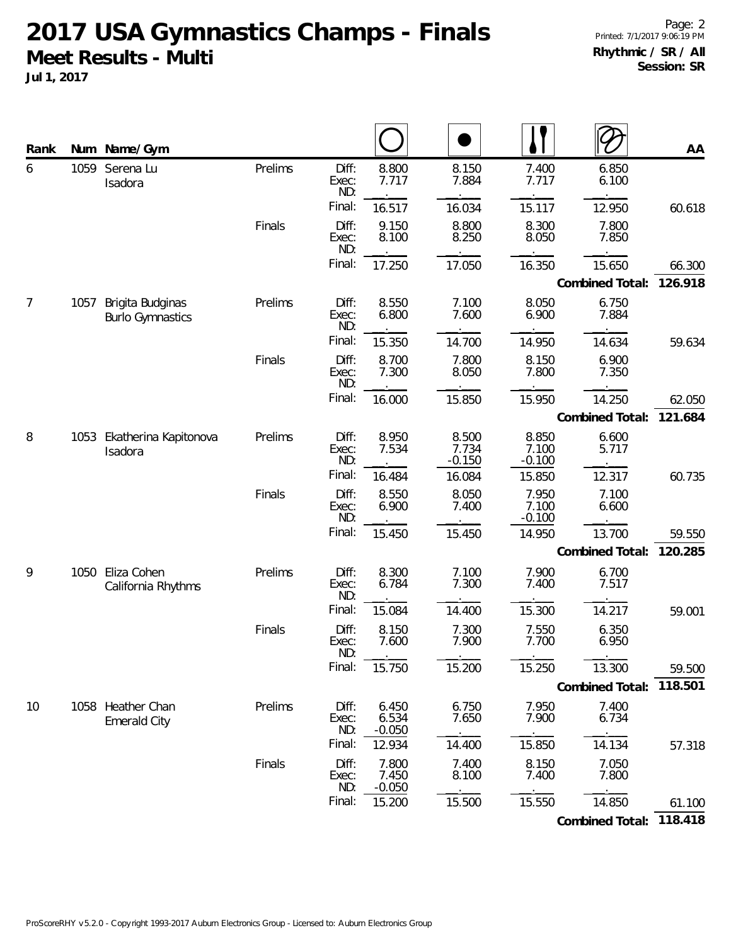**2017 USA Gymnastics Champs - Finals Meet Results - Multi**

**Jul 1, 2017**

| Rank           | Num  | Name/Gym                                    |         |                       |                            |                            |                            |                         | AA      |
|----------------|------|---------------------------------------------|---------|-----------------------|----------------------------|----------------------------|----------------------------|-------------------------|---------|
| 6              | 1059 | Serena Lu<br>Isadora                        | Prelims | Diff:<br>Exec:<br>ND: | 8.800<br>7.717             | 8.150<br>7.884             | 7.400<br>7.717             | 6.850<br>6.100          |         |
|                |      |                                             |         | Final:                | 16.517                     | 16.034                     | 15.117                     | 12.950                  | 60.618  |
|                |      |                                             | Finals  | Diff:<br>Exec:<br>ND: | 9.150<br>8.100             | 8.800<br>8.250             | 8.300<br>8.050             | 7.800<br>7.850          |         |
|                |      |                                             |         | Final:                | 17.250                     | 17.050                     | 16.350                     | 15.650                  | 66.300  |
|                |      |                                             |         |                       |                            |                            |                            | Combined Total:         | 126.918 |
| $\overline{7}$ | 1057 | Brigita Budginas<br><b>Burlo Gymnastics</b> | Prelims | Diff:<br>Exec:<br>ND: | 8.550<br>6.800             | 7.100<br>7.600             | 8.050<br>6.900             | 6.750<br>7.884          |         |
|                |      |                                             |         | Final:                | 15.350                     | 14.700                     | 14.950                     | 14.634                  | 59.634  |
|                |      |                                             | Finals  | Diff:<br>Exec:<br>ND: | 8.700<br>7.300             | 7.800<br>8.050             | 8.150<br>7.800             | 6.900<br>7.350          |         |
|                |      |                                             |         | Final:                | 16.000                     | 15.850                     | 15.950                     | 14.250                  | 62.050  |
|                |      |                                             |         |                       |                            |                            |                            | Combined Total:         | 121.684 |
| 8              | 1053 | Ekatherina Kapitonova<br>Isadora            | Prelims | Diff:<br>Exec:<br>ND: | 8.950<br>7.534             | 8.500<br>7.734<br>$-0.150$ | 8.850<br>7.100<br>$-0.100$ | 6.600<br>5.717          |         |
|                |      |                                             |         | Final:                | 16.484                     | 16.084                     | 15.850                     | 12.317                  | 60.735  |
|                |      |                                             | Finals  | Diff:<br>Exec:<br>ND: | 8.550<br>6.900             | 8.050<br>7.400             | 7.950<br>7.100<br>$-0.100$ | 7.100<br>6.600          |         |
|                |      |                                             |         | Final:                | 15.450                     | 15.450                     | 14.950                     | 13.700                  | 59.550  |
|                |      |                                             |         |                       |                            |                            |                            | Combined Total:         | 120.285 |
| 9              | 1050 | Eliza Cohen<br>California Rhythms           | Prelims | Diff:<br>Exec:<br>ND: | 8.300<br>6.784             | 7.100<br>7.300             | 7.900<br>7.400             | 6.700<br>7.517          |         |
|                |      |                                             |         | Final:                | 15.084                     | 14.400                     | 15.300                     | 14.217                  | 59.001  |
|                |      |                                             | Finals  | Diff:<br>Exec:<br>ND: | 8.150<br>7.600             | 7.300<br>7.900             | 7.550<br>7.700             | 6.350<br>6.950          |         |
|                |      |                                             |         | Final:                | 15.750                     | 15.200                     | 15.250                     | 13.300                  | 59.500  |
|                |      |                                             |         |                       |                            |                            |                            | Combined Total: 118.501 |         |
| 10             |      | 1058 Heather Chan<br><b>Emerald City</b>    | Prelims | Diff:<br>Exec:<br>ND: | 6.450<br>6.534<br>$-0.050$ | 6.750<br>7.650             | 7.950<br>7.900             | 7.400<br>6.734          |         |
|                |      |                                             |         | Final:                | 12.934                     | 14.400                     | 15.850                     | 14.134                  | 57.318  |
|                |      |                                             | Finals  | Diff:<br>Exec:<br>ND: | 7.800<br>7.450<br>$-0.050$ | 7.400<br>8.100             | 8.150<br>7.400             | 7.050<br>7.800          |         |
|                |      |                                             |         | Final:                | 15.200                     | 15.500                     | 15.550                     | 14.850                  | 61.100  |
|                |      |                                             |         |                       |                            |                            |                            | Combined Total: 118.418 |         |